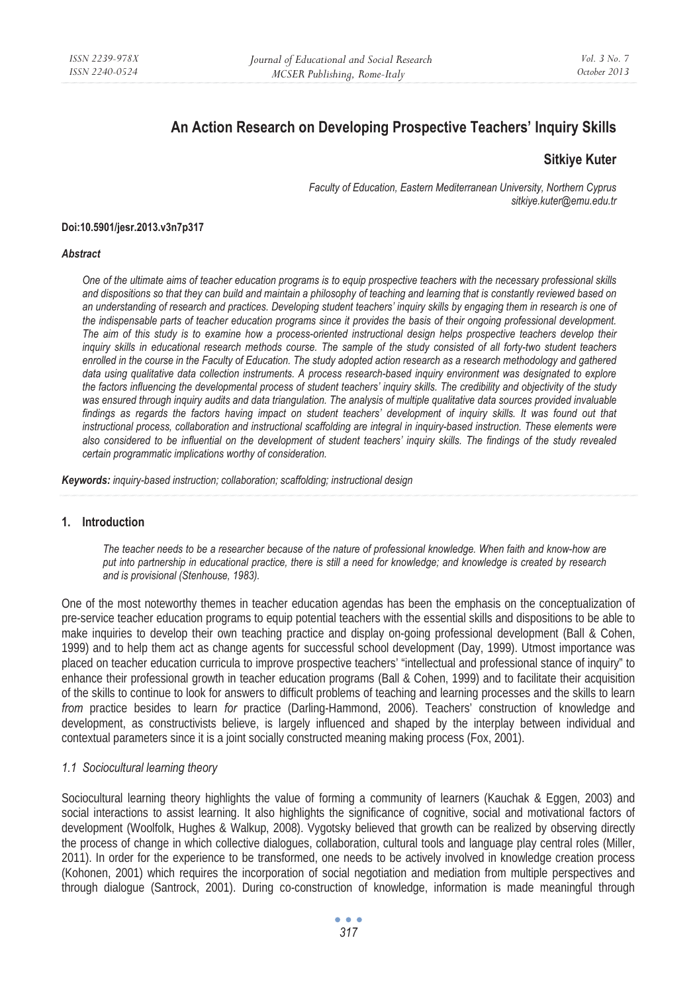# **An Action Research on Developing Prospective Teachers' Inquiry Skills**

# **Sitkiye Kuter**

*Faculty of Education, Eastern Mediterranean University, Northern Cyprus sitkiye.kuter@emu.edu.tr* 

#### **Doi:10.5901/jesr.2013.v3n7p317**

#### *Abstract*

*One of the ultimate aims of teacher education programs is to equip prospective teachers with the necessary professional skills and dispositions so that they can build and maintain a philosophy of teaching and learning that is constantly reviewed based on* an understanding of research and practices. Developing student teachers' inquiry skills by engaging them in research is one of *the indispensable parts of teacher education programs since it provides the basis of their ongoing professional development. The aim of this study is to examine how a process-oriented instructional design helps prospective teachers develop their inquiry skills in educational research methods course. The sample of the study consisted of all forty-two student teachers enrolled in the course in the Faculty of Education. The study adopted action research as a research methodology and gathered*  data using qualitative data collection instruments. A process research-based inquiry environment was designated to explore *the factors influencing the developmental process of student teachers' inquiry skills. The credibility and objectivity of the study*  was ensured through inquiry audits and data triangulation. The analysis of multiple qualitative data sources provided invaluable findings as regards the factors having impact on student teachers' development of inquiry skills. It was found out that instructional process, collaboration and instructional scaffolding are integral in inquiry-based instruction. These elements were *also considered to be influential on the development of student teachers' inquiry skills. The findings of the study revealed certain programmatic implications worthy of consideration.* 

*Keywords: inquiry-based instruction; collaboration; scaffolding; instructional design* 

#### **1. Introduction**

*The teacher needs to be a researcher because of the nature of professional knowledge. When faith and know-how are put into partnership in educational practice, there is still a need for knowledge; and knowledge is created by research and is provisional (Stenhouse, 1983).* 

One of the most noteworthy themes in teacher education agendas has been the emphasis on the conceptualization of pre-service teacher education programs to equip potential teachers with the essential skills and dispositions to be able to make inquiries to develop their own teaching practice and display on-going professional development (Ball & Cohen, 1999) and to help them act as change agents for successful school development (Day, 1999). Utmost importance was placed on teacher education curricula to improve prospective teachers' "intellectual and professional stance of inquiry" to enhance their professional growth in teacher education programs (Ball & Cohen, 1999) and to facilitate their acquisition of the skills to continue to look for answers to difficult problems of teaching and learning processes and the skills to learn *from* practice besides to learn *for* practice (Darling-Hammond, 2006). Teachers' construction of knowledge and development, as constructivists believe, is largely influenced and shaped by the interplay between individual and contextual parameters since it is a joint socially constructed meaning making process (Fox, 2001).

#### *1.1 Sociocultural learning theory*

Sociocultural learning theory highlights the value of forming a community of learners (Kauchak & Eggen, 2003) and social interactions to assist learning. It also highlights the significance of cognitive, social and motivational factors of development (Woolfolk, Hughes & Walkup, 2008). Vygotsky believed that growth can be realized by observing directly the process of change in which collective dialogues, collaboration, cultural tools and language play central roles (Miller, 2011). In order for the experience to be transformed, one needs to be actively involved in knowledge creation process (Kohonen, 2001) which requires the incorporation of social negotiation and mediation from multiple perspectives and through dialogue (Santrock, 2001). During co-construction of knowledge, information is made meaningful through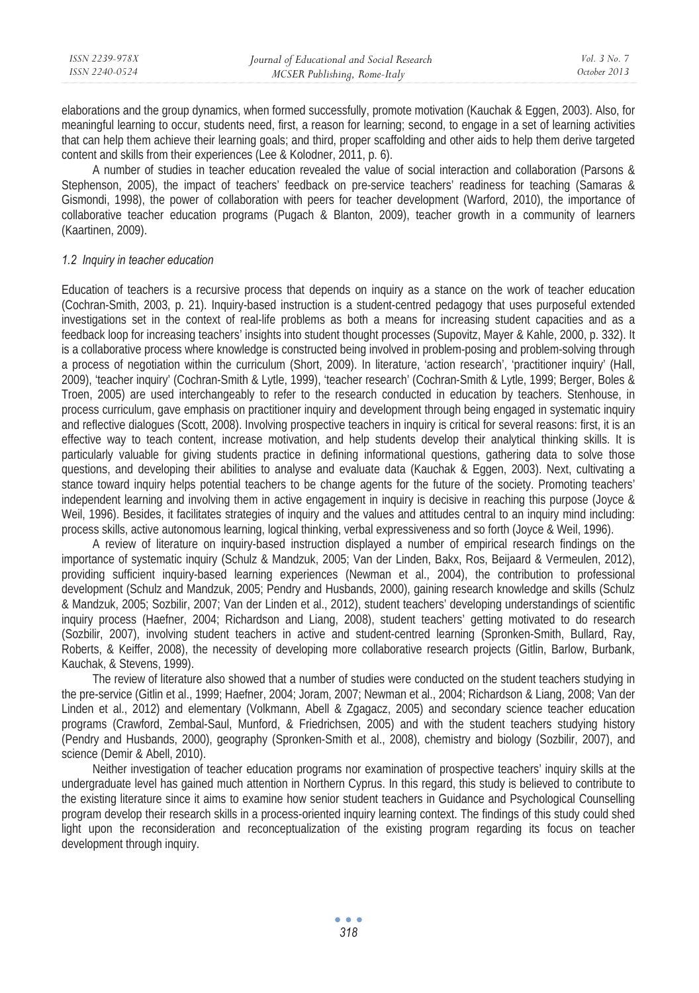| ISSN 2239-978X | Journal of Educational and Social Research | Vol. 3 No. 7 |
|----------------|--------------------------------------------|--------------|
| ISSN 2240-0524 | MCSER Publishing, Rome-Italy               | October 2013 |
|                |                                            |              |

elaborations and the group dynamics, when formed successfully, promote motivation (Kauchak & Eggen, 2003). Also, for meaningful learning to occur, students need, first, a reason for learning; second, to engage in a set of learning activities that can help them achieve their learning goals; and third, proper scaffolding and other aids to help them derive targeted content and skills from their experiences (Lee & Kolodner, 2011, p. 6).

A number of studies in teacher education revealed the value of social interaction and collaboration (Parsons & Stephenson, 2005), the impact of teachers' feedback on pre-service teachers' readiness for teaching (Samaras & Gismondi, 1998), the power of collaboration with peers for teacher development (Warford, 2010), the importance of collaborative teacher education programs (Pugach & Blanton, 2009), teacher growth in a community of learners (Kaartinen, 2009).

#### *1.2 Inquiry in teacher education*

Education of teachers is a recursive process that depends on inquiry as a stance on the work of teacher education (Cochran-Smith, 2003, p. 21). Inquiry-based instruction is a student-centred pedagogy that uses purposeful extended investigations set in the context of real-life problems as both a means for increasing student capacities and as a feedback loop for increasing teachers' insights into student thought processes (Supovitz, Mayer & Kahle, 2000, p. 332). It is a collaborative process where knowledge is constructed being involved in problem-posing and problem-solving through a process of negotiation within the curriculum (Short, 2009). In literature, 'action research', 'practitioner inquiry' (Hall, 2009), 'teacher inquiry' (Cochran-Smith & Lytle, 1999), 'teacher research' (Cochran-Smith & Lytle, 1999; Berger, Boles & Troen, 2005) are used interchangeably to refer to the research conducted in education by teachers. Stenhouse, in process curriculum, gave emphasis on practitioner inquiry and development through being engaged in systematic inquiry and reflective dialogues (Scott, 2008). Involving prospective teachers in inquiry is critical for several reasons: first, it is an effective way to teach content, increase motivation, and help students develop their analytical thinking skills. It is particularly valuable for giving students practice in defining informational questions, gathering data to solve those questions, and developing their abilities to analyse and evaluate data (Kauchak & Eggen, 2003). Next, cultivating a stance toward inquiry helps potential teachers to be change agents for the future of the society. Promoting teachers' independent learning and involving them in active engagement in inquiry is decisive in reaching this purpose (Joyce & Weil, 1996). Besides, it facilitates strategies of inquiry and the values and attitudes central to an inquiry mind including: process skills, active autonomous learning, logical thinking, verbal expressiveness and so forth (Joyce & Weil, 1996).

A review of literature on inquiry-based instruction displayed a number of empirical research findings on the importance of systematic inquiry (Schulz & Mandzuk, 2005; Van der Linden, Bakx, Ros, Beijaard & Vermeulen, 2012), providing sufficient inquiry-based learning experiences (Newman et al., 2004), the contribution to professional development (Schulz and Mandzuk, 2005; Pendry and Husbands, 2000), gaining research knowledge and skills (Schulz & Mandzuk, 2005; Sozbilir, 2007; Van der Linden et al., 2012), student teachers' developing understandings of scientific inquiry process (Haefner, 2004; Richardson and Liang, 2008), student teachers' getting motivated to do research (Sozbilir, 2007), involving student teachers in active and student-centred learning (Spronken-Smith, Bullard, Ray, Roberts, & Keiffer, 2008), the necessity of developing more collaborative research projects (Gitlin, Barlow, Burbank, Kauchak, & Stevens, 1999).

The review of literature also showed that a number of studies were conducted on the student teachers studying in the pre-service (Gitlin et al., 1999; Haefner, 2004; Joram, 2007; Newman et al., 2004; Richardson & Liang, 2008; Van der Linden et al., 2012) and elementary (Volkmann, Abell & Zgagacz, 2005) and secondary science teacher education programs (Crawford, Zembal-Saul, Munford, & Friedrichsen, 2005) and with the student teachers studying history (Pendry and Husbands, 2000), geography (Spronken-Smith et al., 2008), chemistry and biology (Sozbilir, 2007), and science (Demir & Abell, 2010).

Neither investigation of teacher education programs nor examination of prospective teachers' inquiry skills at the undergraduate level has gained much attention in Northern Cyprus. In this regard, this study is believed to contribute to the existing literature since it aims to examine how senior student teachers in Guidance and Psychological Counselling program develop their research skills in a process-oriented inquiry learning context. The findings of this study could shed light upon the reconsideration and reconceptualization of the existing program regarding its focus on teacher development through inquiry.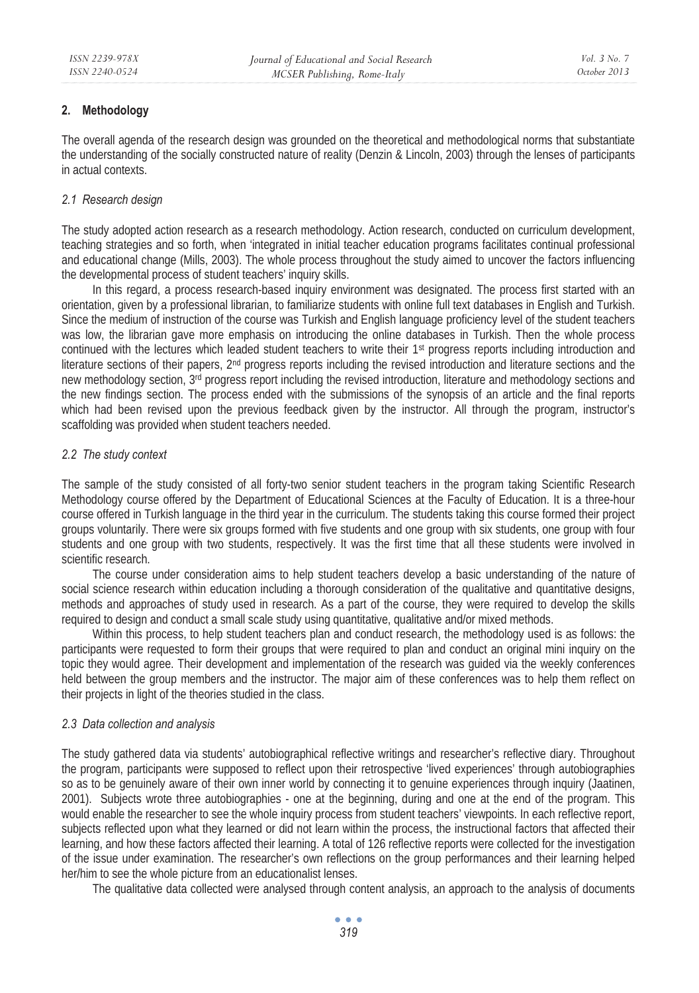### **2. Methodology**

The overall agenda of the research design was grounded on the theoretical and methodological norms that substantiate the understanding of the socially constructed nature of reality (Denzin & Lincoln, 2003) through the lenses of participants in actual contexts.

### *2.1 Research design*

The study adopted action research as a research methodology. Action research, conducted on curriculum development, teaching strategies and so forth, when 'integrated in initial teacher education programs facilitates continual professional and educational change (Mills, 2003). The whole process throughout the study aimed to uncover the factors influencing the developmental process of student teachers' inquiry skills.

In this regard, a process research-based inquiry environment was designated. The process first started with an orientation, given by a professional librarian, to familiarize students with online full text databases in English and Turkish. Since the medium of instruction of the course was Turkish and English language proficiency level of the student teachers was low, the librarian gave more emphasis on introducing the online databases in Turkish. Then the whole process continued with the lectures which leaded student teachers to write their 1st progress reports including introduction and literature sections of their papers,  $2<sup>nd</sup>$  progress reports including the revised introduction and literature sections and the new methodology section, 3rd progress report including the revised introduction, literature and methodology sections and the new findings section. The process ended with the submissions of the synopsis of an article and the final reports which had been revised upon the previous feedback given by the instructor. All through the program, instructor's scaffolding was provided when student teachers needed.

### *2.2 The study context*

The sample of the study consisted of all forty-two senior student teachers in the program taking Scientific Research Methodology course offered by the Department of Educational Sciences at the Faculty of Education. It is a three-hour course offered in Turkish language in the third year in the curriculum. The students taking this course formed their project groups voluntarily. There were six groups formed with five students and one group with six students, one group with four students and one group with two students, respectively. It was the first time that all these students were involved in scientific research.

The course under consideration aims to help student teachers develop a basic understanding of the nature of social science research within education including a thorough consideration of the qualitative and quantitative designs, methods and approaches of study used in research. As a part of the course, they were required to develop the skills required to design and conduct a small scale study using quantitative, qualitative and/or mixed methods.

Within this process, to help student teachers plan and conduct research, the methodology used is as follows: the participants were requested to form their groups that were required to plan and conduct an original mini inquiry on the topic they would agree. Their development and implementation of the research was guided via the weekly conferences held between the group members and the instructor. The major aim of these conferences was to help them reflect on their projects in light of the theories studied in the class.

### *2.3 Data collection and analysis*

The study gathered data via students' autobiographical reflective writings and researcher's reflective diary. Throughout the program, participants were supposed to reflect upon their retrospective 'lived experiences' through autobiographies so as to be genuinely aware of their own inner world by connecting it to genuine experiences through inquiry (Jaatinen, 2001). Subjects wrote three autobiographies - one at the beginning, during and one at the end of the program. This would enable the researcher to see the whole inquiry process from student teachers' viewpoints. In each reflective report, subjects reflected upon what they learned or did not learn within the process, the instructional factors that affected their learning, and how these factors affected their learning. A total of 126 reflective reports were collected for the investigation of the issue under examination. The researcher's own reflections on the group performances and their learning helped her/him to see the whole picture from an educationalist lenses.

The qualitative data collected were analysed through content analysis, an approach to the analysis of documents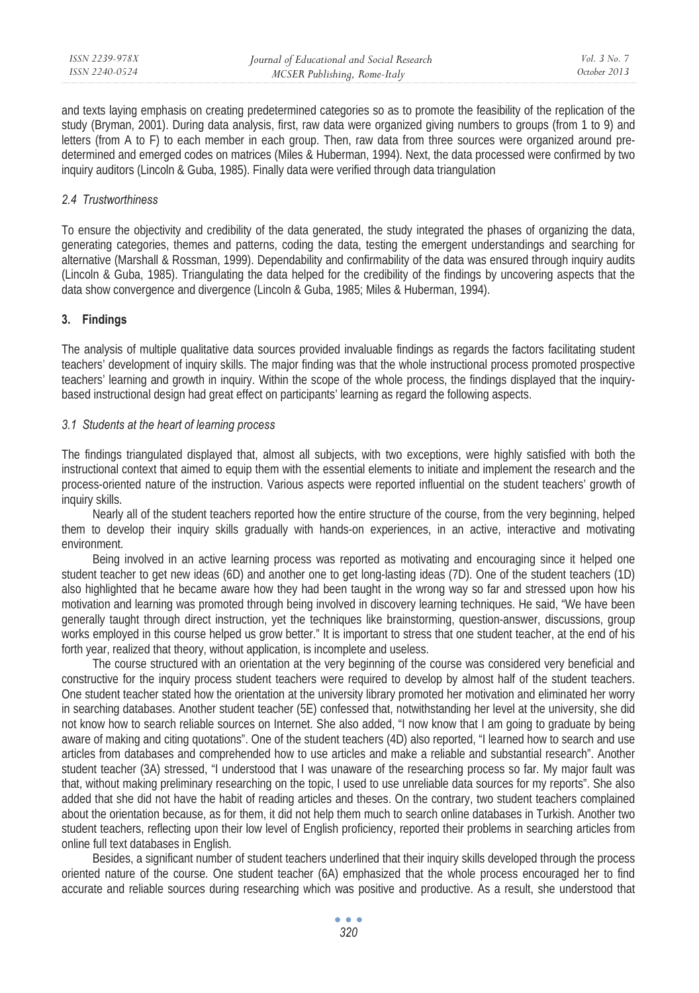and texts laying emphasis on creating predetermined categories so as to promote the feasibility of the replication of the study (Bryman, 2001). During data analysis, first, raw data were organized giving numbers to groups (from 1 to 9) and letters (from A to F) to each member in each group. Then, raw data from three sources were organized around predetermined and emerged codes on matrices (Miles & Huberman, 1994). Next, the data processed were confirmed by two inquiry auditors (Lincoln & Guba, 1985). Finally data were verified through data triangulation

### *2.4 Trustworthiness*

To ensure the objectivity and credibility of the data generated, the study integrated the phases of organizing the data, generating categories, themes and patterns, coding the data, testing the emergent understandings and searching for alternative (Marshall & Rossman, 1999). Dependability and confirmability of the data was ensured through inquiry audits (Lincoln & Guba, 1985). Triangulating the data helped for the credibility of the findings by uncovering aspects that the data show convergence and divergence (Lincoln & Guba, 1985; Miles & Huberman, 1994).

# **3. Findings**

The analysis of multiple qualitative data sources provided invaluable findings as regards the factors facilitating student teachers' development of inquiry skills. The major finding was that the whole instructional process promoted prospective teachers' learning and growth in inquiry. Within the scope of the whole process, the findings displayed that the inquirybased instructional design had great effect on participants' learning as regard the following aspects.

### *3.1 Students at the heart of learning process*

The findings triangulated displayed that, almost all subjects, with two exceptions, were highly satisfied with both the instructional context that aimed to equip them with the essential elements to initiate and implement the research and the process-oriented nature of the instruction. Various aspects were reported influential on the student teachers' growth of inquiry skills.

Nearly all of the student teachers reported how the entire structure of the course, from the very beginning, helped them to develop their inquiry skills gradually with hands-on experiences, in an active, interactive and motivating environment.

Being involved in an active learning process was reported as motivating and encouraging since it helped one student teacher to get new ideas (6D) and another one to get long-lasting ideas (7D). One of the student teachers (1D) also highlighted that he became aware how they had been taught in the wrong way so far and stressed upon how his motivation and learning was promoted through being involved in discovery learning techniques. He said, "We have been generally taught through direct instruction, yet the techniques like brainstorming, question-answer, discussions, group works employed in this course helped us grow better." It is important to stress that one student teacher, at the end of his forth year, realized that theory, without application, is incomplete and useless.

The course structured with an orientation at the very beginning of the course was considered very beneficial and constructive for the inquiry process student teachers were required to develop by almost half of the student teachers. One student teacher stated how the orientation at the university library promoted her motivation and eliminated her worry in searching databases. Another student teacher (5E) confessed that, notwithstanding her level at the university, she did not know how to search reliable sources on Internet. She also added, "I now know that I am going to graduate by being aware of making and citing quotations". One of the student teachers (4D) also reported, "I learned how to search and use articles from databases and comprehended how to use articles and make a reliable and substantial research". Another student teacher (3A) stressed, "I understood that I was unaware of the researching process so far. My major fault was that, without making preliminary researching on the topic, I used to use unreliable data sources for my reports". She also added that she did not have the habit of reading articles and theses. On the contrary, two student teachers complained about the orientation because, as for them, it did not help them much to search online databases in Turkish. Another two student teachers, reflecting upon their low level of English proficiency, reported their problems in searching articles from online full text databases in English.

Besides, a significant number of student teachers underlined that their inquiry skills developed through the process oriented nature of the course. One student teacher (6A) emphasized that the whole process encouraged her to find accurate and reliable sources during researching which was positive and productive. As a result, she understood that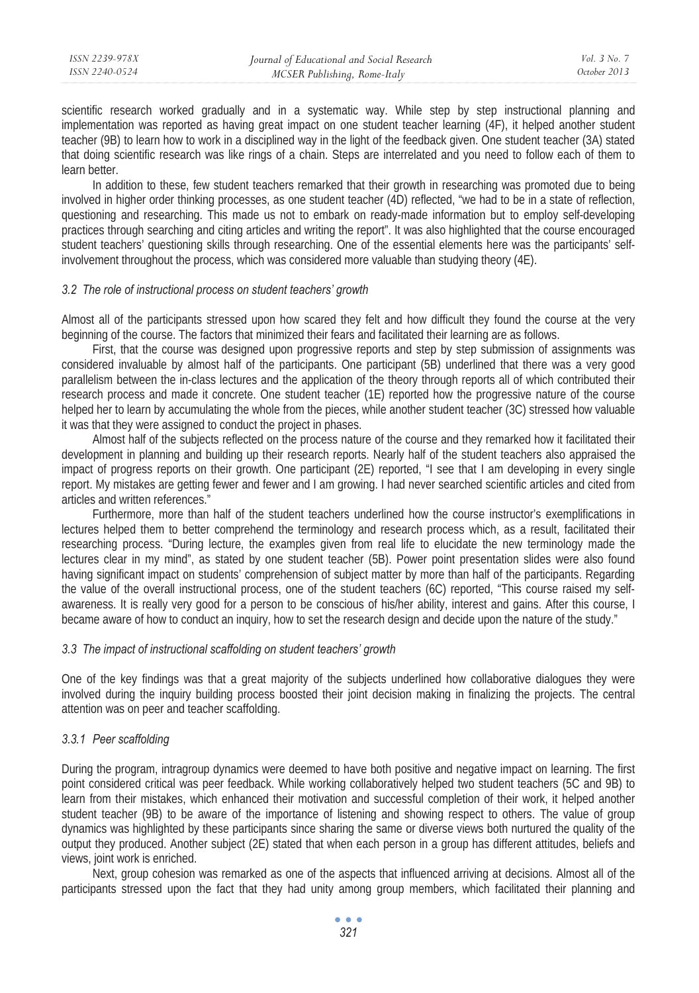scientific research worked gradually and in a systematic way. While step by step instructional planning and implementation was reported as having great impact on one student teacher learning (4F), it helped another student teacher (9B) to learn how to work in a disciplined way in the light of the feedback given. One student teacher (3A) stated that doing scientific research was like rings of a chain. Steps are interrelated and you need to follow each of them to learn better.

In addition to these, few student teachers remarked that their growth in researching was promoted due to being involved in higher order thinking processes, as one student teacher (4D) reflected, "we had to be in a state of reflection, questioning and researching. This made us not to embark on ready-made information but to employ self-developing practices through searching and citing articles and writing the report". It was also highlighted that the course encouraged student teachers' questioning skills through researching. One of the essential elements here was the participants' selfinvolvement throughout the process, which was considered more valuable than studying theory (4E).

#### *3.2 The role of instructional process on student teachers' growth*

Almost all of the participants stressed upon how scared they felt and how difficult they found the course at the very beginning of the course. The factors that minimized their fears and facilitated their learning are as follows.

First, that the course was designed upon progressive reports and step by step submission of assignments was considered invaluable by almost half of the participants. One participant (5B) underlined that there was a very good parallelism between the in-class lectures and the application of the theory through reports all of which contributed their research process and made it concrete. One student teacher (1E) reported how the progressive nature of the course helped her to learn by accumulating the whole from the pieces, while another student teacher (3C) stressed how valuable it was that they were assigned to conduct the project in phases.

Almost half of the subjects reflected on the process nature of the course and they remarked how it facilitated their development in planning and building up their research reports. Nearly half of the student teachers also appraised the impact of progress reports on their growth. One participant (2E) reported, "I see that I am developing in every single report. My mistakes are getting fewer and fewer and I am growing. I had never searched scientific articles and cited from articles and written references."

Furthermore, more than half of the student teachers underlined how the course instructor's exemplifications in lectures helped them to better comprehend the terminology and research process which, as a result, facilitated their researching process. "During lecture, the examples given from real life to elucidate the new terminology made the lectures clear in my mind", as stated by one student teacher (5B). Power point presentation slides were also found having significant impact on students' comprehension of subject matter by more than half of the participants. Regarding the value of the overall instructional process, one of the student teachers (6C) reported, "This course raised my selfawareness. It is really very good for a person to be conscious of his/her ability, interest and gains. After this course, I became aware of how to conduct an inquiry, how to set the research design and decide upon the nature of the study."

### *3.3 The impact of instructional scaffolding on student teachers' growth*

One of the key findings was that a great majority of the subjects underlined how collaborative dialogues they were involved during the inquiry building process boosted their joint decision making in finalizing the projects. The central attention was on peer and teacher scaffolding.

### *3.3.1 Peer scaffolding*

During the program, intragroup dynamics were deemed to have both positive and negative impact on learning. The first point considered critical was peer feedback. While working collaboratively helped two student teachers (5C and 9B) to learn from their mistakes, which enhanced their motivation and successful completion of their work, it helped another student teacher (9B) to be aware of the importance of listening and showing respect to others. The value of group dynamics was highlighted by these participants since sharing the same or diverse views both nurtured the quality of the output they produced. Another subject (2E) stated that when each person in a group has different attitudes, beliefs and views, joint work is enriched.

Next, group cohesion was remarked as one of the aspects that influenced arriving at decisions. Almost all of the participants stressed upon the fact that they had unity among group members, which facilitated their planning and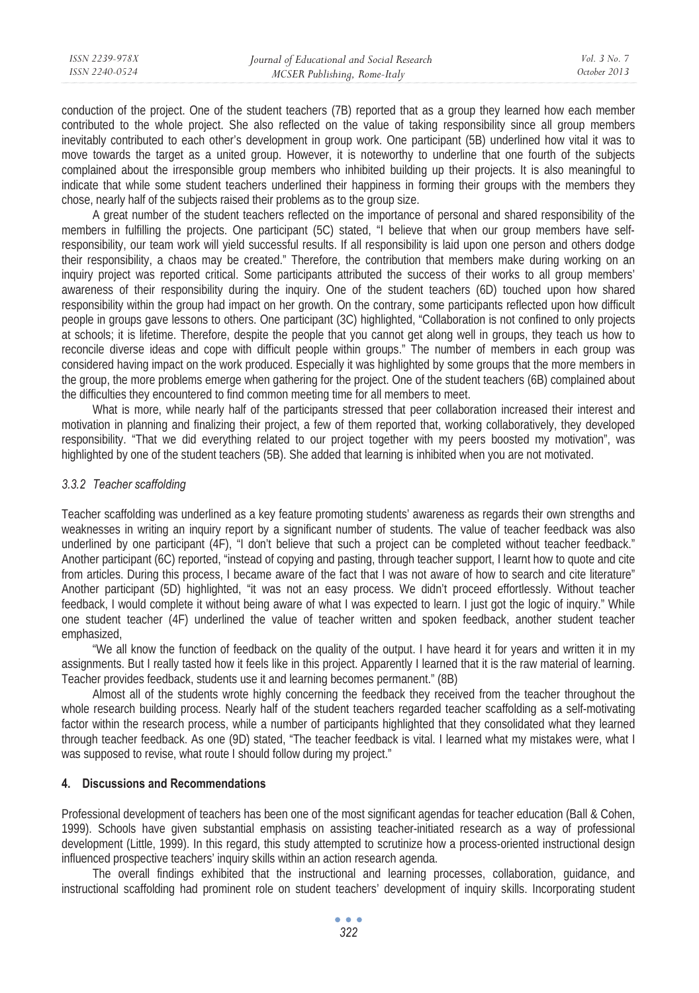| ISSN 2239-978X | Journal of Educational and Social Research | Vol. 3 No. 7 |
|----------------|--------------------------------------------|--------------|
| ISSN 2240-0524 | MCSER Publishing, Rome-Italy               | October 2013 |
|                |                                            |              |

conduction of the project. One of the student teachers (7B) reported that as a group they learned how each member contributed to the whole project. She also reflected on the value of taking responsibility since all group members inevitably contributed to each other's development in group work. One participant (5B) underlined how vital it was to move towards the target as a united group. However, it is noteworthy to underline that one fourth of the subjects complained about the irresponsible group members who inhibited building up their projects. It is also meaningful to indicate that while some student teachers underlined their happiness in forming their groups with the members they chose, nearly half of the subjects raised their problems as to the group size.

A great number of the student teachers reflected on the importance of personal and shared responsibility of the members in fulfilling the projects. One participant (5C) stated, "I believe that when our group members have selfresponsibility, our team work will yield successful results. If all responsibility is laid upon one person and others dodge their responsibility, a chaos may be created." Therefore, the contribution that members make during working on an inquiry project was reported critical. Some participants attributed the success of their works to all group members' awareness of their responsibility during the inquiry. One of the student teachers (6D) touched upon how shared responsibility within the group had impact on her growth. On the contrary, some participants reflected upon how difficult people in groups gave lessons to others. One participant (3C) highlighted, "Collaboration is not confined to only projects at schools; it is lifetime. Therefore, despite the people that you cannot get along well in groups, they teach us how to reconcile diverse ideas and cope with difficult people within groups." The number of members in each group was considered having impact on the work produced. Especially it was highlighted by some groups that the more members in the group, the more problems emerge when gathering for the project. One of the student teachers (6B) complained about the difficulties they encountered to find common meeting time for all members to meet.

What is more, while nearly half of the participants stressed that peer collaboration increased their interest and motivation in planning and finalizing their project, a few of them reported that, working collaboratively, they developed responsibility. "That we did everything related to our project together with my peers boosted my motivation", was highlighted by one of the student teachers (5B). She added that learning is inhibited when you are not motivated.

### *3.3.2 Teacher scaffolding*

Teacher scaffolding was underlined as a key feature promoting students' awareness as regards their own strengths and weaknesses in writing an inquiry report by a significant number of students. The value of teacher feedback was also underlined by one participant (4F), "I don't believe that such a project can be completed without teacher feedback." Another participant (6C) reported, "instead of copying and pasting, through teacher support, I learnt how to quote and cite from articles. During this process, I became aware of the fact that I was not aware of how to search and cite literature" Another participant (5D) highlighted, "it was not an easy process. We didn't proceed effortlessly. Without teacher feedback, I would complete it without being aware of what I was expected to learn. I just got the logic of inquiry." While one student teacher (4F) underlined the value of teacher written and spoken feedback, another student teacher emphasized,

"We all know the function of feedback on the quality of the output. I have heard it for years and written it in my assignments. But I really tasted how it feels like in this project. Apparently I learned that it is the raw material of learning. Teacher provides feedback, students use it and learning becomes permanent." (8B)

Almost all of the students wrote highly concerning the feedback they received from the teacher throughout the whole research building process. Nearly half of the student teachers regarded teacher scaffolding as a self-motivating factor within the research process, while a number of participants highlighted that they consolidated what they learned through teacher feedback. As one (9D) stated, "The teacher feedback is vital. I learned what my mistakes were, what I was supposed to revise, what route I should follow during my project."

# **4. Discussions and Recommendations**

Professional development of teachers has been one of the most significant agendas for teacher education (Ball & Cohen, 1999). Schools have given substantial emphasis on assisting teacher-initiated research as a way of professional development (Little, 1999). In this regard, this study attempted to scrutinize how a process-oriented instructional design influenced prospective teachers' inquiry skills within an action research agenda.

The overall findings exhibited that the instructional and learning processes, collaboration, guidance, and instructional scaffolding had prominent role on student teachers' development of inquiry skills. Incorporating student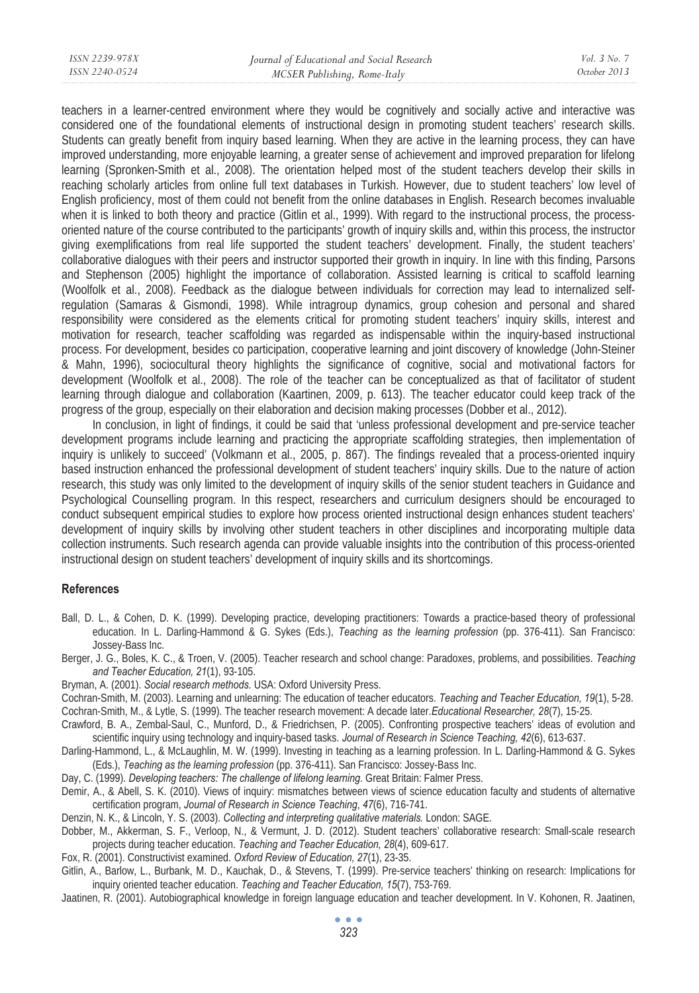| ISSN 2239-978X | Journal of Educational and Social Research | Vol. 3 No. 7 |
|----------------|--------------------------------------------|--------------|
| ISSN 2240-0524 | MCSER Publishing, Rome-Italy               | October 2013 |
|                |                                            |              |

teachers in a learner-centred environment where they would be cognitively and socially active and interactive was considered one of the foundational elements of instructional design in promoting student teachers' research skills. Students can greatly benefit from inquiry based learning. When they are active in the learning process, they can have improved understanding, more enjoyable learning, a greater sense of achievement and improved preparation for lifelong learning (Spronken-Smith et al., 2008). The orientation helped most of the student teachers develop their skills in reaching scholarly articles from online full text databases in Turkish. However, due to student teachers' low level of English proficiency, most of them could not benefit from the online databases in English. Research becomes invaluable when it is linked to both theory and practice (Gitlin et al., 1999). With regard to the instructional process, the processoriented nature of the course contributed to the participants' growth of inquiry skills and, within this process, the instructor giving exemplifications from real life supported the student teachers' development. Finally, the student teachers' collaborative dialogues with their peers and instructor supported their growth in inquiry. In line with this finding, Parsons and Stephenson (2005) highlight the importance of collaboration. Assisted learning is critical to scaffold learning (Woolfolk et al., 2008). Feedback as the dialogue between individuals for correction may lead to internalized selfregulation (Samaras & Gismondi, 1998). While intragroup dynamics, group cohesion and personal and shared responsibility were considered as the elements critical for promoting student teachers' inquiry skills, interest and motivation for research, teacher scaffolding was regarded as indispensable within the inquiry-based instructional process. For development, besides co participation, cooperative learning and joint discovery of knowledge (John-Steiner & Mahn, 1996), sociocultural theory highlights the significance of cognitive, social and motivational factors for development (Woolfolk et al., 2008). The role of the teacher can be conceptualized as that of facilitator of student learning through dialogue and collaboration (Kaartinen, 2009, p. 613). The teacher educator could keep track of the progress of the group, especially on their elaboration and decision making processes (Dobber et al., 2012).

In conclusion, in light of findings, it could be said that 'unless professional development and pre-service teacher development programs include learning and practicing the appropriate scaffolding strategies, then implementation of inquiry is unlikely to succeed' (Volkmann et al., 2005, p. 867). The findings revealed that a process-oriented inquiry based instruction enhanced the professional development of student teachers' inquiry skills. Due to the nature of action research, this study was only limited to the development of inquiry skills of the senior student teachers in Guidance and Psychological Counselling program. In this respect, researchers and curriculum designers should be encouraged to conduct subsequent empirical studies to explore how process oriented instructional design enhances student teachers' development of inquiry skills by involving other student teachers in other disciplines and incorporating multiple data collection instruments. Such research agenda can provide valuable insights into the contribution of this process-oriented instructional design on student teachers' development of inquiry skills and its shortcomings.

#### **References**

- Ball, D. L., & Cohen, D. K. (1999). Developing practice, developing practitioners: Towards a practice-based theory of professional education. In L. Darling-Hammond & G. Sykes (Eds.), *Teaching as the learning profession* (pp. 376-411). San Francisco: Jossey-Bass Inc.
- Berger, J. G., Boles, K. C., & Troen, V. (2005). Teacher research and school change: Paradoxes, problems, and possibilities. *Teaching and Teacher Education, 21*(1), 93-105.
- Bryman, A. (2001). *Social research methods.* USA: Oxford University Press.
- Cochran-Smith, M. (2003). Learning and unlearning: The education of teacher educators. *Teaching and Teacher Education, 19*(1), 5-28. Cochran-Smith, M., & Lytle, S. (1999). The teacher research movement: A decade later.*Educational Researcher, 28*(7), 15-25.
- Crawford, B. A., Zembal-Saul, C., Munford, D., & Friedrichsen, P. (2005). Confronting prospective teachers' ideas of evolution and
- scientific inquiry using technology and inquiry-based tasks. *Journal of Research in Science Teaching, 42*(6), 613-637.
- Darling-Hammond, L., & McLaughlin, M. W. (1999). Investing in teaching as a learning profession. In L. Darling-Hammond & G. Sykes (Eds.), *Teaching as the learning profession* (pp. 376-411). San Francisco: Jossey-Bass Inc.
- Day, C. (1999). *Developing teachers: The challenge of lifelong learning.* Great Britain: Falmer Press.
- Demir, A., & Abell, S. K. (2010). Views of inquiry: mismatches between views of science education faculty and students of alternative certification program, *Journal of Research in Science Teaching*, *47*(6), 716-741.
- Denzin, N. K., & Lincoln, Y. S. (2003). *Collecting and interpreting qualitative materials.* London: SAGE.
- Dobber, M., Akkerman, S. F., Verloop, N., & Vermunt, J. D. (2012). Student teachers' collaborative research: Small-scale research projects during teacher education. *Teaching and Teacher Education, 28*(4), 609-617.
- Fox, R. (2001). Constructivist examined. *Oxford Review of Education, 27*(1), 23-35.
- Gitlin, A., Barlow, L., Burbank, M. D., Kauchak, D., & Stevens, T. (1999). Pre-service teachers' thinking on research: Implications for inquiry oriented teacher education. *Teaching and Teacher Education, 15*(7), 753-769.
- Jaatinen, R. (2001). Autobiographical knowledge in foreign language education and teacher development. In V. Kohonen, R. Jaatinen,